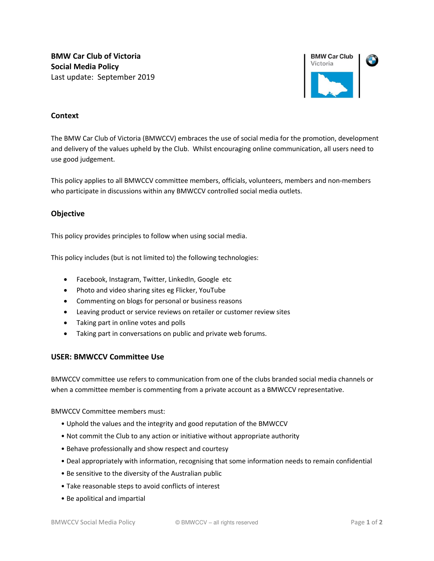**BMW Car Club of Victoria Social Media Policy**  Last update: September 2019



# **Context**

The BMW Car Club of Victoria (BMWCCV) embraces the use of social media for the promotion, development and delivery of the values upheld by the Club. Whilst encouraging online communication, all users need to use good judgement.

This policy applies to all BMWCCV committee members, officials, volunteers, members and non-members who participate in discussions within any BMWCCV controlled social media outlets.

# **Objective**

This policy provides principles to follow when using social media.

This policy includes (but is not limited to) the following technologies:

- Facebook, Instagram, Twitter, LinkedIn, Google etc
- Photo and video sharing sites eg Flicker, YouTube
- Commenting on blogs for personal or business reasons
- Leaving product or service reviews on retailer or customer review sites
- Taking part in online votes and polls
- Taking part in conversations on public and private web forums.

# **USER: BMWCCV Committee Use**

BMWCCV committee use refers to communication from one of the clubs branded social media channels or when a committee member is commenting from a private account as a BMWCCV representative.

BMWCCV Committee members must:

- Uphold the values and the integrity and good reputation of the BMWCCV
- Not commit the Club to any action or initiative without appropriate authority
- Behave professionally and show respect and courtesy
- Deal appropriately with information, recognising that some information needs to remain confidential
- Be sensitive to the diversity of the Australian public
- Take reasonable steps to avoid conflicts of interest
- Be apolitical and impartial